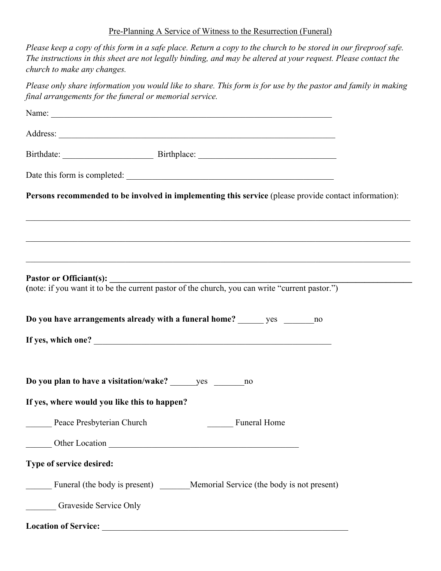## Pre-Planning A Service of Witness to the Resurrection (Funeral)

| Please keep a copy of this form in a safe place. Return a copy to the church to be stored in our fireproof safe.<br>The instructions in this sheet are not legally binding, and may be altered at your request. Please contact the<br>church to make any changes. |
|-------------------------------------------------------------------------------------------------------------------------------------------------------------------------------------------------------------------------------------------------------------------|
| Please only share information you would like to share. This form is for use by the pastor and family in making<br>final arrangements for the funeral or memorial service.                                                                                         |
|                                                                                                                                                                                                                                                                   |
|                                                                                                                                                                                                                                                                   |
|                                                                                                                                                                                                                                                                   |
|                                                                                                                                                                                                                                                                   |
| Persons recommended to be involved in implementing this service (please provide contact information):<br>,我们也不能在这里的时候,我们也不能在这里的时候,我们也不能会在这里的时候,我们也不能会在这里的时候,我们也不能会在这里的时候,我们也不能会在这里的时候,我们也不                                                                        |
|                                                                                                                                                                                                                                                                   |
| Pastor or Officiant(s):<br>(note: if you want it to be the current pastor of the church, you can write "current pastor.")                                                                                                                                         |
| Do you have arrangements already with a funeral home? ______ yes ______ no                                                                                                                                                                                        |
|                                                                                                                                                                                                                                                                   |
| Do you plan to have a visitation/wake? yes no                                                                                                                                                                                                                     |
| If yes, where would you like this to happen?                                                                                                                                                                                                                      |
| Peace Presbyterian Church<br><b>Example 1 Funeral Home</b>                                                                                                                                                                                                        |
|                                                                                                                                                                                                                                                                   |
| Type of service desired:                                                                                                                                                                                                                                          |
| Funeral (the body is present) _______Memorial Service (the body is not present)                                                                                                                                                                                   |
| <b>Graveside Service Only</b>                                                                                                                                                                                                                                     |
| <b>Location of Service:</b>                                                                                                                                                                                                                                       |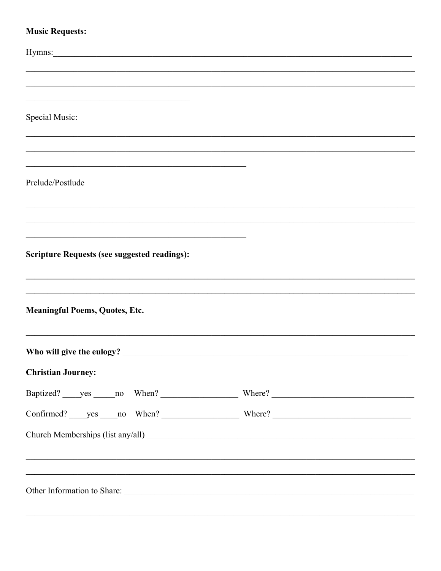## **Music Requests:**

| Hymns:                                              |                                                                                                                                                                      |  |
|-----------------------------------------------------|----------------------------------------------------------------------------------------------------------------------------------------------------------------------|--|
|                                                     |                                                                                                                                                                      |  |
|                                                     |                                                                                                                                                                      |  |
|                                                     |                                                                                                                                                                      |  |
| Special Music:                                      |                                                                                                                                                                      |  |
|                                                     |                                                                                                                                                                      |  |
|                                                     |                                                                                                                                                                      |  |
|                                                     |                                                                                                                                                                      |  |
| Prelude/Postlude                                    |                                                                                                                                                                      |  |
|                                                     |                                                                                                                                                                      |  |
|                                                     |                                                                                                                                                                      |  |
|                                                     |                                                                                                                                                                      |  |
| <b>Scripture Requests (see suggested readings):</b> |                                                                                                                                                                      |  |
|                                                     |                                                                                                                                                                      |  |
|                                                     |                                                                                                                                                                      |  |
|                                                     |                                                                                                                                                                      |  |
| <b>Meaningful Poems, Quotes, Etc.</b>               |                                                                                                                                                                      |  |
|                                                     |                                                                                                                                                                      |  |
|                                                     |                                                                                                                                                                      |  |
| <b>Christian Journey:</b>                           |                                                                                                                                                                      |  |
|                                                     |                                                                                                                                                                      |  |
|                                                     |                                                                                                                                                                      |  |
|                                                     |                                                                                                                                                                      |  |
|                                                     |                                                                                                                                                                      |  |
|                                                     |                                                                                                                                                                      |  |
|                                                     | ,我们也不能在这里的时候,我们也不能在这里的时候,我们也不能会不能会不能会不能会不能会不能会不能会不能会不能会不能会。""我们的是,我们也不能会不能会不能会不能<br>,我们也不能会在这里,我们的人们就会在这里,我们也不会在这里,我们也不会在这里,我们也不会在这里,我们也不会在这里,我们也不会在这里,我们也不会在这里,我们也不 |  |
|                                                     |                                                                                                                                                                      |  |
|                                                     |                                                                                                                                                                      |  |